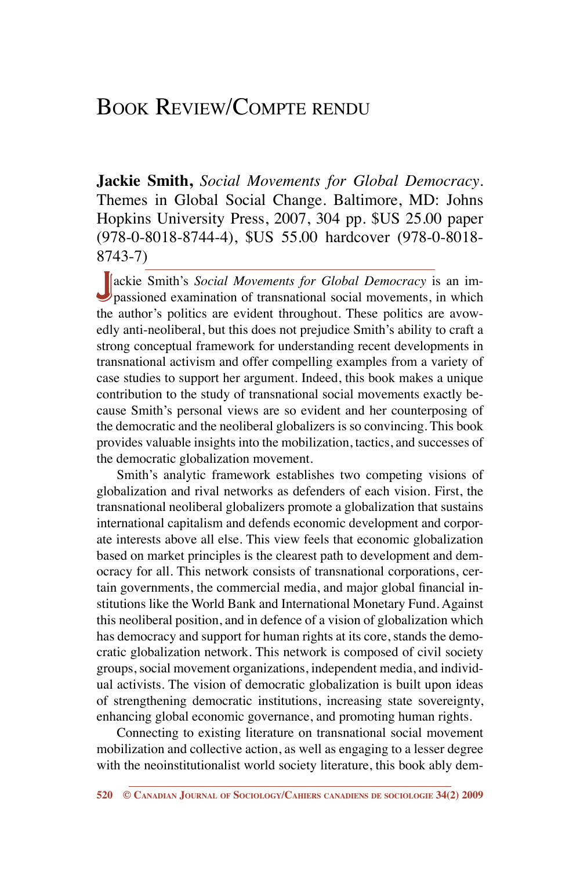## Book Review/Compte rendu

**Jackie Smith,** *Social Movements for Global Democracy*. Themes in Global Social Change. Baltimore, MD: Johns Hopkins University Press, 2007, 304 pp. \$US 25.00 paper (978-0-8018-8744-4), \$US 55.00 hardcover (978-0-8018- 8743-7)

**J**ackie Smith's *Social Movements for Global Democracy* is an im-<br>passioned examination of transnational social movements, in which the author's politics are evident throughout. These politics are avowedly anti-neoliberal, but this does not prejudice Smith's ability to craft a strong conceptual framework for understanding recent developments in transnational activism and offer compelling examples from a variety of case studies to support her argument. Indeed, this book makes a unique contribution to the study of transnational social movements exactly because Smith's personal views are so evident and her counterposing of the democratic and the neoliberal globalizers is so convincing. This book provides valuable insights into the mobilization, tactics, and successes of the democratic globalization movement.

Smith's analytic framework establishes two competing visions of globalization and rival networks as defenders of each vision. First, the transnational neoliberal globalizers promote a globalization that sustains international capitalism and defends economic development and corporate interests above all else. This view feels that economic globalization based on market principles is the clearest path to development and democracy for all. This network consists of transnational corporations, certain governments, the commercial media, and major global financial institutions like the World Bank and International Monetary Fund. Against this neoliberal position, and in defence of a vision of globalization which has democracy and support for human rights at its core, stands the democratic globalization network. This network is composed of civil society groups, social movement organizations, independent media, and individual activists. The vision of democratic globalization is built upon ideas of strengthening democratic institutions, increasing state sovereignty, enhancing global economic governance, and promoting human rights.

Connecting to existing literature on transnational social movement mobilization and collective action, as well as engaging to a lesser degree with the neoinstitutionalist world society literature, this book ably dem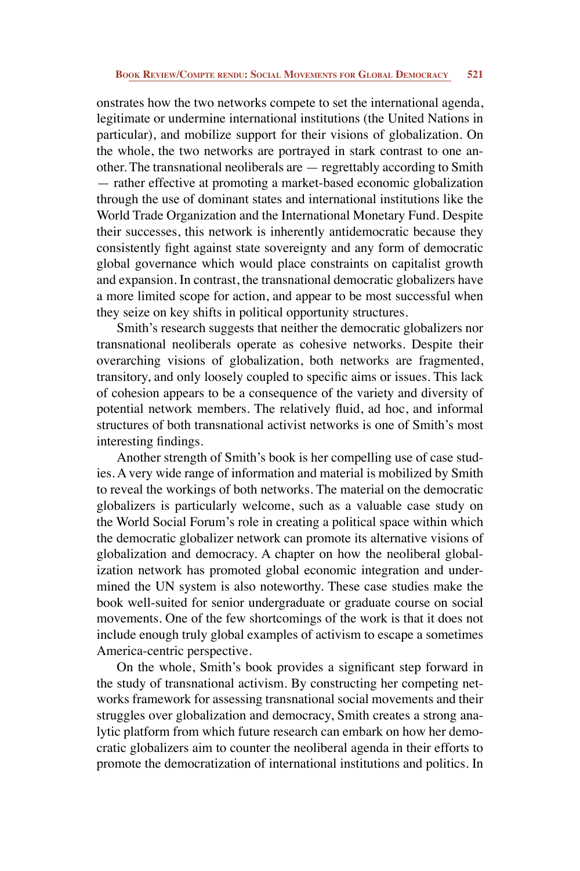onstrates how the two networks compete to set the international agenda, legitimate or undermine international institutions (the United Nations in particular), and mobilize support for their visions of globalization. On the whole, the two networks are portrayed in stark contrast to one another. The transnational neoliberals are — regrettably according to Smith — rather effective at promoting a market-based economic globalization through the use of dominant states and international institutions like the World Trade Organization and the International Monetary Fund. Despite their successes, this network is inherently antidemocratic because they consistently fight against state sovereignty and any form of democratic global governance which would place constraints on capitalist growth and expansion. In contrast, the transnational democratic globalizers have a more limited scope for action, and appear to be most successful when they seize on key shifts in political opportunity structures.

Smith's research suggests that neither the democratic globalizers nor transnational neoliberals operate as cohesive networks. Despite their overarching visions of globalization, both networks are fragmented, transitory, and only loosely coupled to specific aims or issues. This lack of cohesion appears to be a consequence of the variety and diversity of potential network members. The relatively fluid, ad hoc, and informal structures of both transnational activist networks is one of Smith's most interesting findings.

Another strength of Smith's book is her compelling use of case studies. A very wide range of information and material is mobilized by Smith to reveal the workings of both networks. The material on the democratic globalizers is particularly welcome, such as a valuable case study on the World Social Forum's role in creating a political space within which the democratic globalizer network can promote its alternative visions of globalization and democracy. A chapter on how the neoliberal globalization network has promoted global economic integration and undermined the UN system is also noteworthy. These case studies make the book well-suited for senior undergraduate or graduate course on social movements. One of the few shortcomings of the work is that it does not include enough truly global examples of activism to escape a sometimes America-centric perspective.

On the whole, Smith's book provides a significant step forward in the study of transnational activism. By constructing her competing networks framework for assessing transnational social movements and their struggles over globalization and democracy, Smith creates a strong analytic platform from which future research can embark on how her democratic globalizers aim to counter the neoliberal agenda in their efforts to promote the democratization of international institutions and politics. In